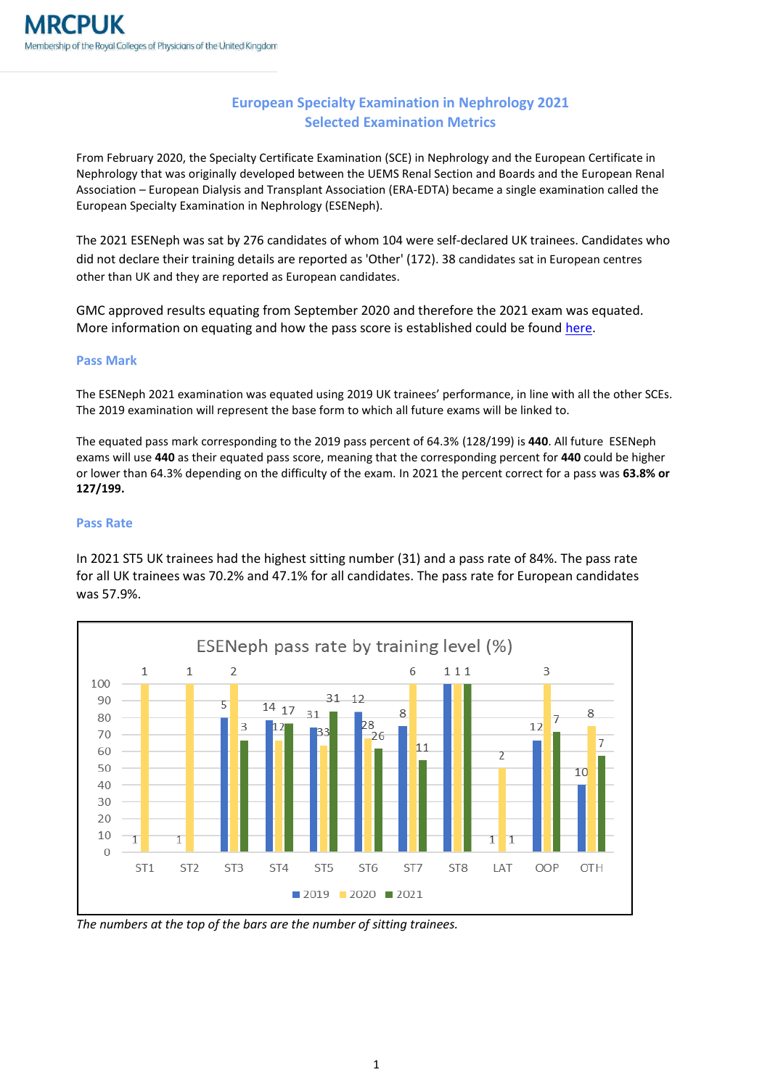## **European Specialty Examination in Nephrology 2021 Selected Examination Metrics**

From February 2020, the Specialty Certificate Examination (SCE) in Nephrology and the European Certificate in Nephrology that was originally developed between the UEMS Renal Section and Boards and the European Renal Association – European Dialysis and Transplant Association (ERA-EDTA) became a single examination called the European Specialty Examination in Nephrology (ESENeph).

The 2021 ESENeph was sat by 276 candidates of whom 104 were self-declared UK trainees. Candidates who did not declare their training details are reported as 'Other' (172). 38 candidates sat in European centres other than UK and they are reported as European candidates.

GMC approved results equating from September 2020 and therefore the 2021 exam was equated. More information on equating and how the pass score is established could be found [here.](https://www.mrcpuk.org/mrcpuk-examinations/results/exam-pass-marks)

## **Pass Mark**

The ESENeph 2021 examination was equated using 2019 UK trainees' performance, in line with all the other SCEs. The 2019 examination will represent the base form to which all future exams will be linked to.

The equated pass mark corresponding to the 2019 pass percent of 64.3% (128/199) is **440**. All future ESENeph exams will use **440** as their equated pass score, meaning that the corresponding percent for **440** could be higher or lower than 64.3% depending on the difficulty of the exam. In 2021 the percent correct for a pass was **63.8% or 127/199.**

## **Pass Rate**

In 2021 ST5 UK trainees had the highest sitting number (31) and a pass rate of 84%. The pass rate for all UK trainees was 70.2% and 47.1% for all candidates. The pass rate for European candidates was 57.9%.



*The numbers at the top of the bars are the number of sitting trainees.*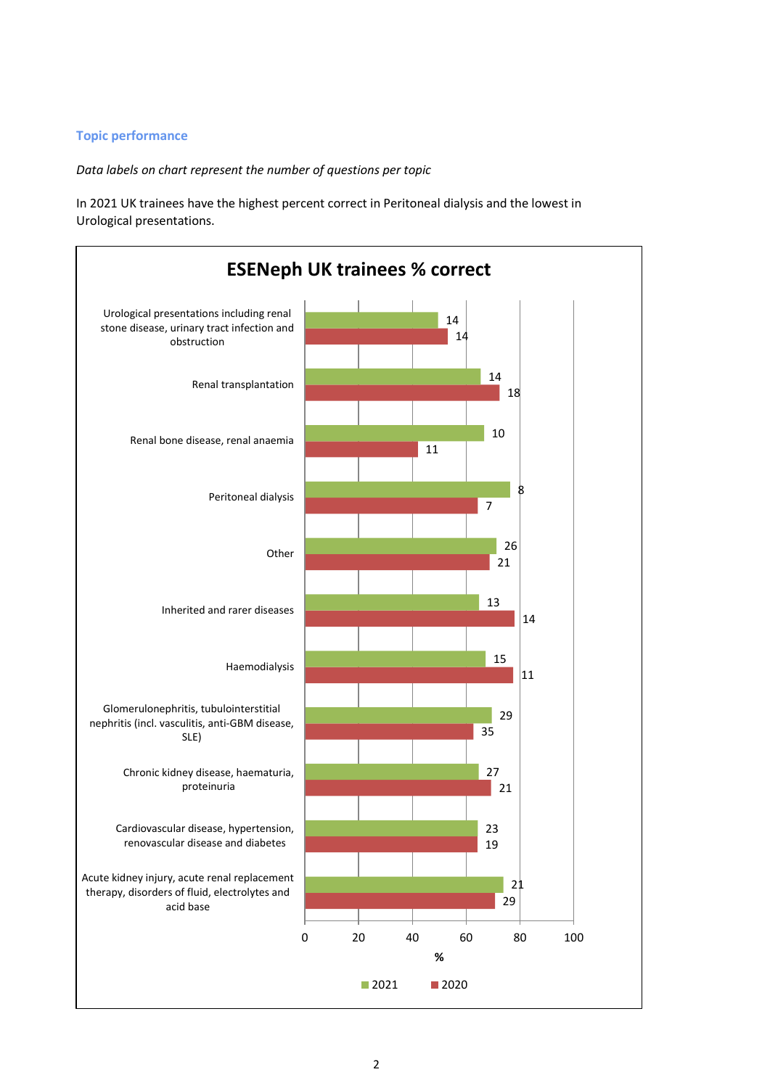## **Topic performance**

*Data labels on chart represent the number of questions per topic*

In 2021 UK trainees have the highest percent correct in Peritoneal dialysis and the lowest in Urological presentations.

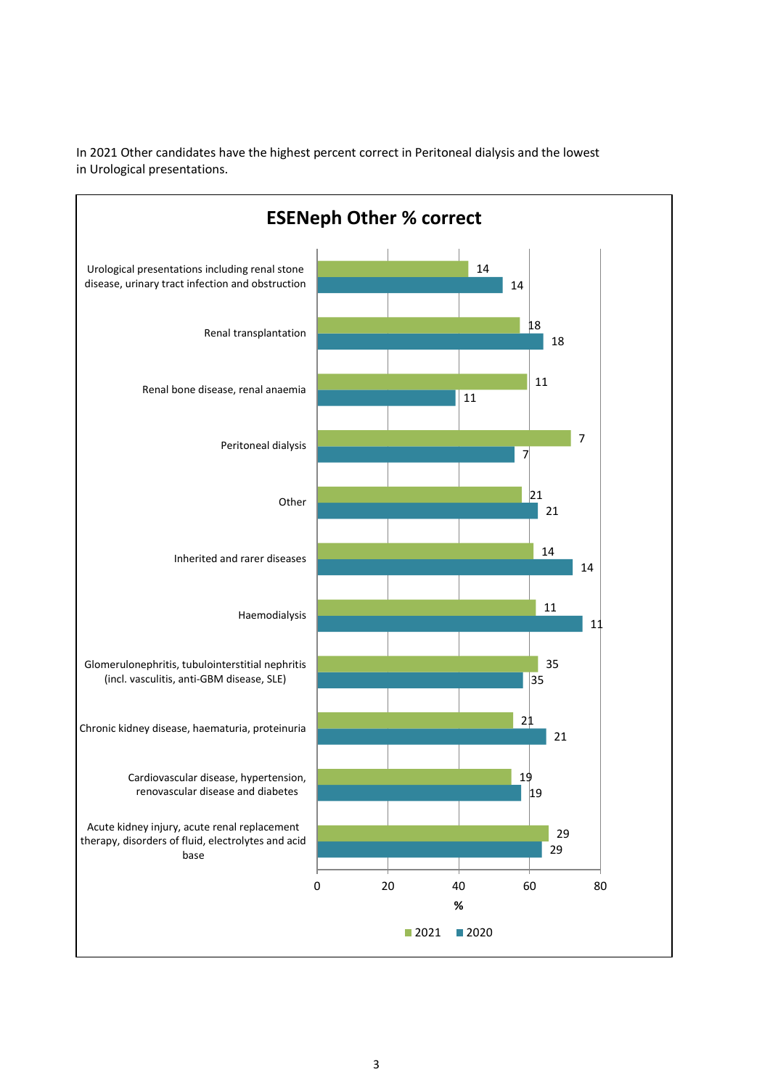

In 2021 Other candidates have the highest percent correct in Peritoneal dialysis and the lowest in Urological presentations.